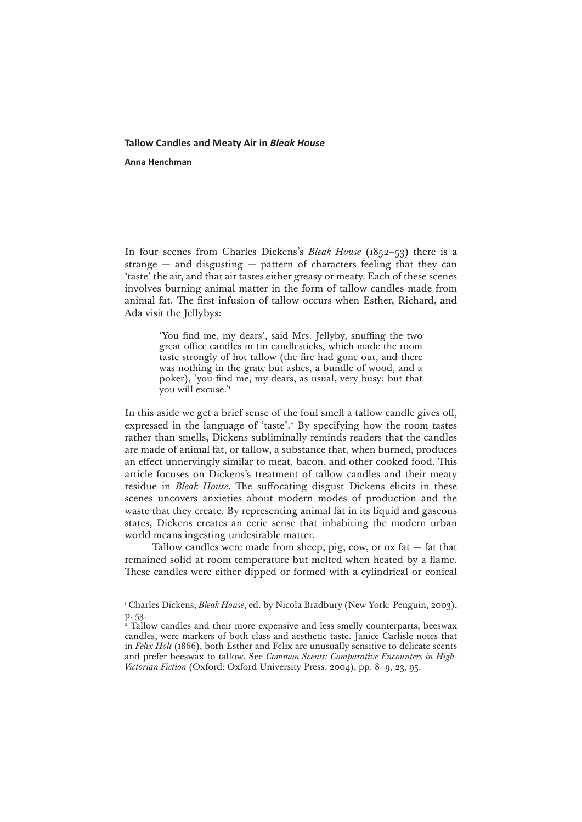## **Tallow Candles and Meaty Air in** *Bleak House*

**Anna Henchman**

In four scenes from Charles Dickens's *Bleak House* (1852–53) there is a strange — and disgusting — pattern of characters feeling that they can 'taste' the air, and that air tastes either greasy or meaty. Each of these scenes involves burning animal matter in the form of tallow candles made from animal fat. The first infusion of tallow occurs when Esther, Richard, and Ada visit the Jellybys:

> 'You find me, my dears', said Mrs. Jellyby, snuffing the two great office candles in tin candlesticks, which made the room taste strongly of hot tallow (the fire had gone out, and there was nothing in the grate but ashes, a bundle of wood, and a poker), 'you find me, my dears, as usual, very busy; but that you will excuse.'1

In this aside we get a brief sense of the foul smell a tallow candle gives off, expressed in the language of 'taste'.<sup>2</sup> By specifying how the room tastes rather than smells, Dickens subliminally reminds readers that the candles are made of animal fat, or tallow, a substance that, when burned, produces an effect unnervingly similar to meat, bacon, and other cooked food. This article focuses on Dickens's treatment of tallow candles and their meaty residue in *Bleak House*. The suffocating disgust Dickens elicits in these scenes uncovers anxieties about modern modes of production and the waste that they create. By representing animal fat in its liquid and gaseous states, Dickens creates an eerie sense that inhabiting the modern urban world means ingesting undesirable matter.

Tallow candles were made from sheep, pig, cow, or  $\alpha x$  fat  $-$  fat that remained solid at room temperature but melted when heated by a flame. These candles were either dipped or formed with a cylindrical or conical

<sup>1</sup> Charles Dickens, *Bleak House*, ed. by Nicola Bradbury (New York: Penguin, 2003), p. 53.

<sup>2</sup> Tallow candles and their more expensive and less smelly counterparts, beeswax candles, were markers of both class and aesthetic taste. Janice Carlisle notes that in *Felix Holt* (1866), both Esther and Felix are unusually sensitive to delicate scents and prefer beeswax to tallow. See *Common Scents: Comparative Encounters in High-Victorian Fiction* (Oxford: Oxford University Press, 2004), pp. 8–9, 23, 95.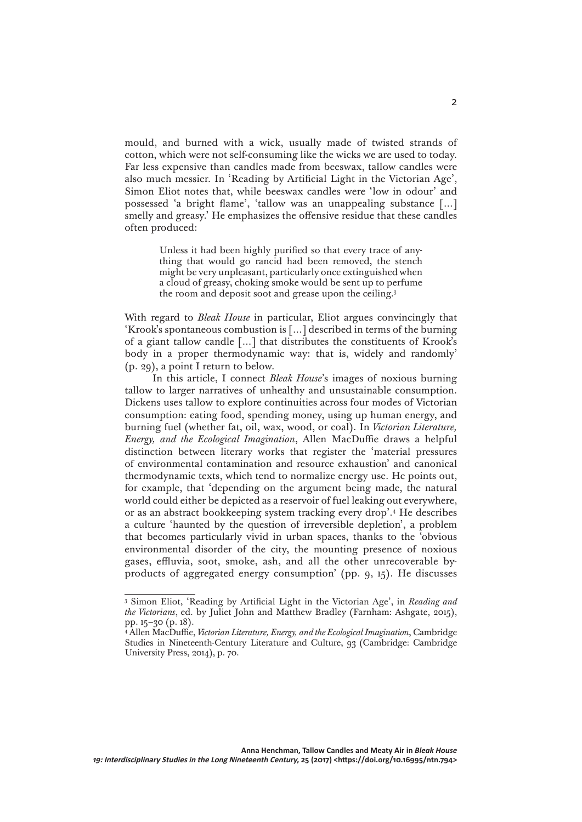mould, and burned with a wick, usually made of twisted strands of cotton, which were not self-consuming like the wicks we are used to today. Far less expensive than candles made from beeswax, tallow candles were also much messier. In 'Reading by Artificial Light in the Victorian Age', Simon Eliot notes that, while beeswax candles were 'low in odour' and possessed 'a bright flame', 'tallow was an unappealing substance […] smelly and greasy.' He emphasizes the offensive residue that these candles often produced:

> Unless it had been highly purified so that every trace of anything that would go rancid had been removed, the stench might be very unpleasant, particularly once extinguished when a cloud of greasy, choking smoke would be sent up to perfume the room and deposit soot and grease upon the ceiling.3

With regard to *Bleak House* in particular, Eliot argues convincingly that 'Krook's spontaneous combustion is […] described in terms of the burning of a giant tallow candle […] that distributes the constituents of Krook's body in a proper thermodynamic way: that is, widely and randomly' (p. 29), a point I return to below.

In this article, I connect *Bleak House*'s images of noxious burning tallow to larger narratives of unhealthy and unsustainable consumption. Dickens uses tallow to explore continuities across four modes of Victorian consumption: eating food, spending money, using up human energy, and burning fuel (whether fat, oil, wax, wood, or coal). In *Victorian Literature, Energy, and the Ecological Imagination*, Allen MacDuffie draws a helpful distinction between literary works that register the 'material pressures of environmental contamination and resource exhaustion' and canonical thermodynamic texts, which tend to normalize energy use. He points out, for example, that 'depending on the argument being made, the natural world could either be depicted as a reservoir of fuel leaking out everywhere, or as an abstract bookkeeping system tracking every drop'.4 He describes a culture 'haunted by the question of irreversible depletion', a problem that becomes particularly vivid in urban spaces, thanks to the 'obvious environmental disorder of the city, the mounting presence of noxious gases, effluvia, soot, smoke, ash, and all the other unrecoverable byproducts of aggregated energy consumption' (pp. 9, 15). He discusses

<sup>3</sup> Simon Eliot, 'Reading by Artificial Light in the Victorian Age', in *Reading and the Victorians*, ed. by Juliet John and Matthew Bradley (Farnham: Ashgate, 2015), pp. 15–30 (p. 18).

<sup>4</sup> Allen MacDuffie, *Victorian Literature, Energy, and the Ecological Imagination*, Cambridge Studies in Nineteenth-Century Literature and Culture, 93 (Cambridge: Cambridge University Press, 2014), p. 70.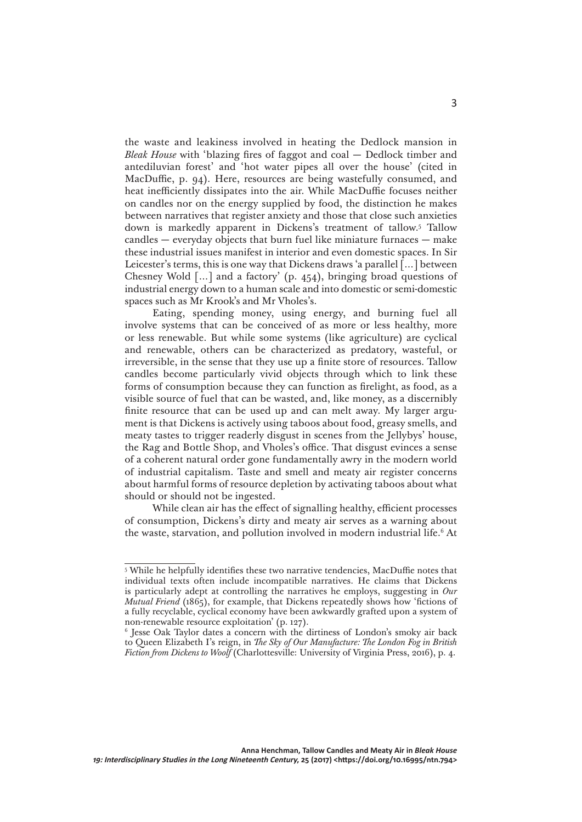the waste and leakiness involved in heating the Dedlock mansion in *Bleak House* with 'blazing fires of faggot and coal — Dedlock timber and antediluvian forest' and 'hot water pipes all over the house' (cited in MacDuffie, p. 94). Here, resources are being wastefully consumed, and heat inefficiently dissipates into the air. While MacDuffie focuses neither on candles nor on the energy supplied by food, the distinction he makes between narratives that register anxiety and those that close such anxieties down is markedly apparent in Dickens's treatment of tallow.5 Tallow candles — everyday objects that burn fuel like miniature furnaces — make these industrial issues manifest in interior and even domestic spaces. In Sir Leicester's terms, this is one way that Dickens draws 'a parallel  $\lceil ... \rceil$  between Chesney Wold  $[\dots]$  and a factory' (p. 454), bringing broad questions of industrial energy down to a human scale and into domestic or semi-domestic spaces such as Mr Krook's and Mr Vholes's.

Eating, spending money, using energy, and burning fuel all involve systems that can be conceived of as more or less healthy, more or less renewable. But while some systems (like agriculture) are cyclical and renewable, others can be characterized as predatory, wasteful, or irreversible, in the sense that they use up a finite store of resources. Tallow candles become particularly vivid objects through which to link these forms of consumption because they can function as firelight, as food, as a visible source of fuel that can be wasted, and, like money, as a discernibly finite resource that can be used up and can melt away. My larger argument is that Dickens is actively using taboos about food, greasy smells, and meaty tastes to trigger readerly disgust in scenes from the Jellybys' house, the Rag and Bottle Shop, and Vholes's office. That disgust evinces a sense of a coherent natural order gone fundamentally awry in the modern world of industrial capitalism. Taste and smell and meaty air register concerns about harmful forms of resource depletion by activating taboos about what should or should not be ingested.

While clean air has the effect of signalling healthy, efficient processes of consumption, Dickens's dirty and meaty air serves as a warning about the waste, starvation, and pollution involved in modern industrial life.<sup>6</sup> At

<sup>5</sup> While he helpfully identifies these two narrative tendencies, MacDuffie notes that individual texts often include incompatible narratives. He claims that Dickens is particularly adept at controlling the narratives he employs, suggesting in *Our Mutual Friend* (1865), for example, that Dickens repeatedly shows how 'fictions of a fully recyclable, cyclical economy have been awkwardly grafted upon a system of non-renewable resource exploitation' (p. 127).

<sup>6</sup> Jesse Oak Taylor dates a concern with the dirtiness of London's smoky air back to Queen Elizabeth I's reign, in *The Sky of Our Manufacture: The London Fog in British Fiction from Dickens to Woolf* (Charlottesville: University of Virginia Press, 2016), p. 4.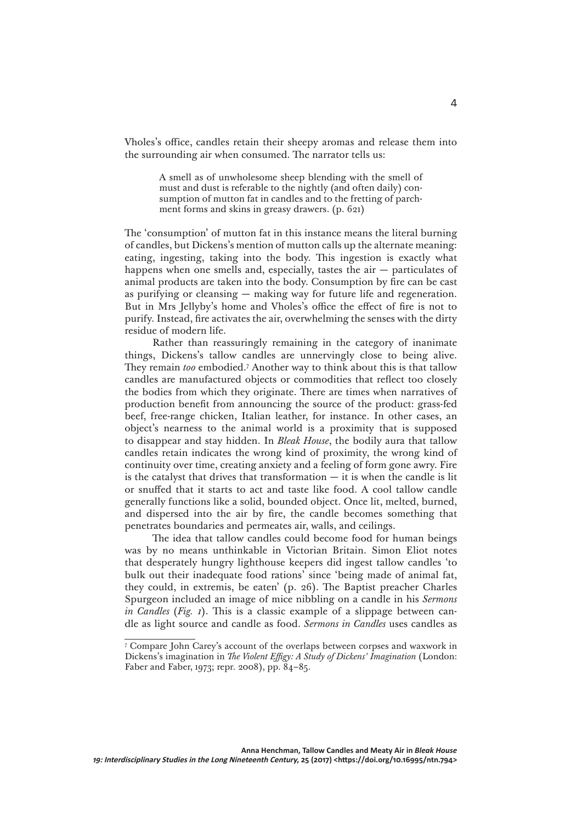Vholes's office, candles retain their sheepy aromas and release them into the surrounding air when consumed. The narrator tells us:

> A smell as of unwholesome sheep blending with the smell of must and dust is referable to the nightly (and often daily) consumption of mutton fat in candles and to the fretting of parchment forms and skins in greasy drawers. (p. 621)

The 'consumption' of mutton fat in this instance means the literal burning of candles, but Dickens's mention of mutton calls up the alternate meaning: eating, ingesting, taking into the body. This ingestion is exactly what happens when one smells and, especially, tastes the  $air -$  particulates of animal products are taken into the body. Consumption by fire can be cast as purifying or cleansing — making way for future life and regeneration. But in Mrs Jellyby's home and Vholes's office the effect of fire is not to purify. Instead, fire activates the air, overwhelming the senses with the dirty residue of modern life.

Rather than reassuringly remaining in the category of inanimate things, Dickens's tallow candles are unnervingly close to being alive. They remain *too* embodied.7 Another way to think about this is that tallow candles are manufactured objects or commodities that reflect too closely the bodies from which they originate. There are times when narratives of production benefit from announcing the source of the product: grass-fed beef, free-range chicken, Italian leather, for instance. In other cases, an object's nearness to the animal world is a proximity that is supposed to disappear and stay hidden. In *Bleak House*, the bodily aura that tallow candles retain indicates the wrong kind of proximity, the wrong kind of continuity over time, creating anxiety and a feeling of form gone awry. Fire is the catalyst that drives that transformation  $-$  it is when the candle is lit or snuffed that it starts to act and taste like food. A cool tallow candle generally functions like a solid, bounded object. Once lit, melted, burned, and dispersed into the air by fire, the candle becomes something that penetrates boundaries and permeates air, walls, and ceilings.

The idea that tallow candles could become food for human beings was by no means unthinkable in Victorian Britain. Simon Eliot notes that desperately hungry lighthouse keepers did ingest tallow candles 'to bulk out their inadequate food rations' since 'being made of animal fat, they could, in extremis, be eaten' (p. 26). The Baptist preacher Charles Spurgeon included an image of mice nibbling on a candle in his *Sermons in Candles* (*Fig. 1*). This is a classic example of a slippage between candle as light source and candle as food. *Sermons in Candles* uses candles as

<sup>7</sup> Compare John Carey's account of the overlaps between corpses and waxwork in Dickens's imagination in *The Violent Effigy: A Study of Dickens' Imagination* (London: Faber and Faber, 1973; repr. 2008), pp. 84–85.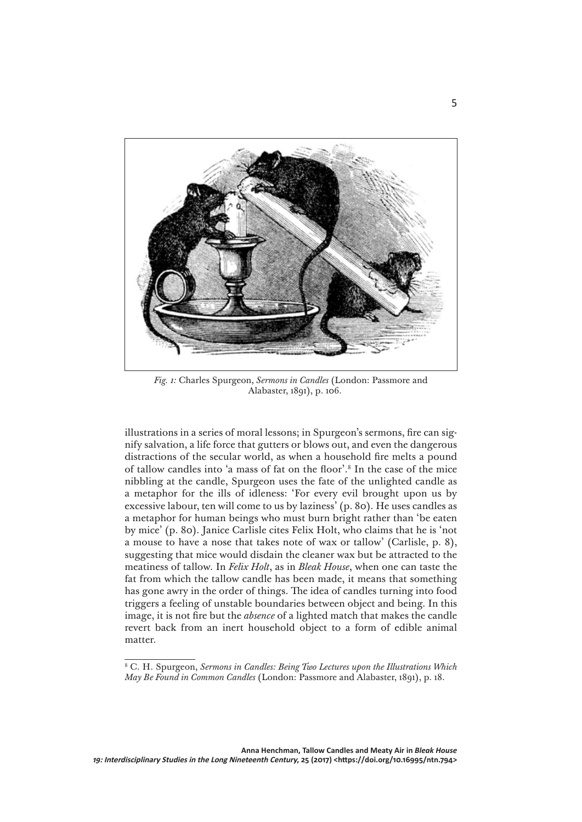

*Fig. 1:* Charles Spurgeon, *Sermons in Candles* (London: Passmore and Alabaster, 1891), p. 106.

illustrations in a series of moral lessons; in Spurgeon's sermons, fire can signify salvation, a life force that gutters or blows out, and even the dangerous distractions of the secular world, as when a household fire melts a pound of tallow candles into 'a mass of fat on the floor'.8 In the case of the mice nibbling at the candle, Spurgeon uses the fate of the unlighted candle as a metaphor for the ills of idleness: 'For every evil brought upon us by excessive labour, ten will come to us by laziness' (p. 80). He uses candles as a metaphor for human beings who must burn bright rather than 'be eaten by mice' (p. 80). Janice Carlisle cites Felix Holt, who claims that he is 'not a mouse to have a nose that takes note of wax or tallow' (Carlisle, p. 8), suggesting that mice would disdain the cleaner wax but be attracted to the meatiness of tallow. In *Felix Holt*, as in *Bleak House*, when one can taste the fat from which the tallow candle has been made, it means that something has gone awry in the order of things. The idea of candles turning into food triggers a feeling of unstable boundaries between object and being. In this image, it is not fire but the *absence* of a lighted match that makes the candle revert back from an inert household object to a form of edible animal matter.

<sup>8</sup> C. H. Spurgeon, *Sermons in Candles: Being Two Lectures upon the Illustrations Which May Be Found in Common Candles* (London: Passmore and Alabaster, 1891), p. 18.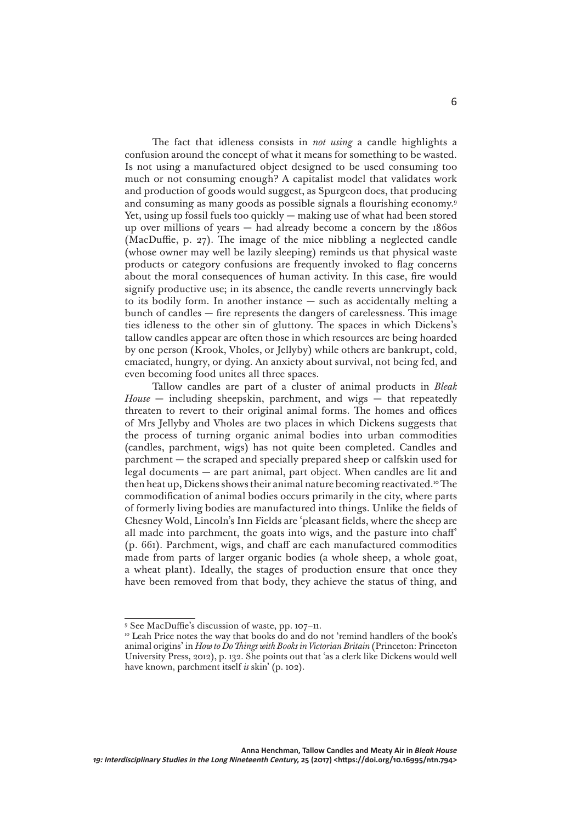The fact that idleness consists in *not using* a candle highlights a confusion around the concept of what it means for something to be wasted. Is not using a manufactured object designed to be used consuming too much or not consuming enough? A capitalist model that validates work and production of goods would suggest, as Spurgeon does, that producing and consuming as many goods as possible signals a flourishing economy.9 Yet, using up fossil fuels too quickly — making use of what had been stored up over millions of years — had already become a concern by the 1860s (MacDuffie, p. 27). The image of the mice nibbling a neglected candle (whose owner may well be lazily sleeping) reminds us that physical waste products or category confusions are frequently invoked to flag concerns about the moral consequences of human activity. In this case, fire would signify productive use; in its absence, the candle reverts unnervingly back to its bodily form. In another instance — such as accidentally melting a bunch of candles — fire represents the dangers of carelessness. This image ties idleness to the other sin of gluttony. The spaces in which Dickens's tallow candles appear are often those in which resources are being hoarded by one person (Krook, Vholes, or Jellyby) while others are bankrupt, cold, emaciated, hungry, or dying. An anxiety about survival, not being fed, and even becoming food unites all three spaces.

Tallow candles are part of a cluster of animal products in *Bleak House* — including sheepskin, parchment, and wigs — that repeatedly threaten to revert to their original animal forms. The homes and offices of Mrs Jellyby and Vholes are two places in which Dickens suggests that the process of turning organic animal bodies into urban commodities (candles, parchment, wigs) has not quite been completed. Candles and parchment — the scraped and specially prepared sheep or calfskin used for legal documents — are part animal, part object. When candles are lit and then heat up, Dickens shows their animal nature becoming reactivated.<sup>10</sup> The commodification of animal bodies occurs primarily in the city, where parts of formerly living bodies are manufactured into things. Unlike the fields of Chesney Wold, Lincoln's Inn Fields are 'pleasant fields, where the sheep are all made into parchment, the goats into wigs, and the pasture into chaff' (p. 661). Parchment, wigs, and chaff are each manufactured commodities made from parts of larger organic bodies (a whole sheep, a whole goat, a wheat plant). Ideally, the stages of production ensure that once they have been removed from that body, they achieve the status of thing, and

<sup>9</sup> See MacDuffie's discussion of waste, pp. 107–11.

<sup>&</sup>lt;sup>10</sup> Leah Price notes the way that books do and do not 'remind handlers of the book's animal origins' in *How to Do Things with Books in Victorian Britain* (Princeton: Princeton University Press, 2012), p. 132. She points out that 'as a clerk like Dickens would well have known, parchment itself *is* skin' (p. 102).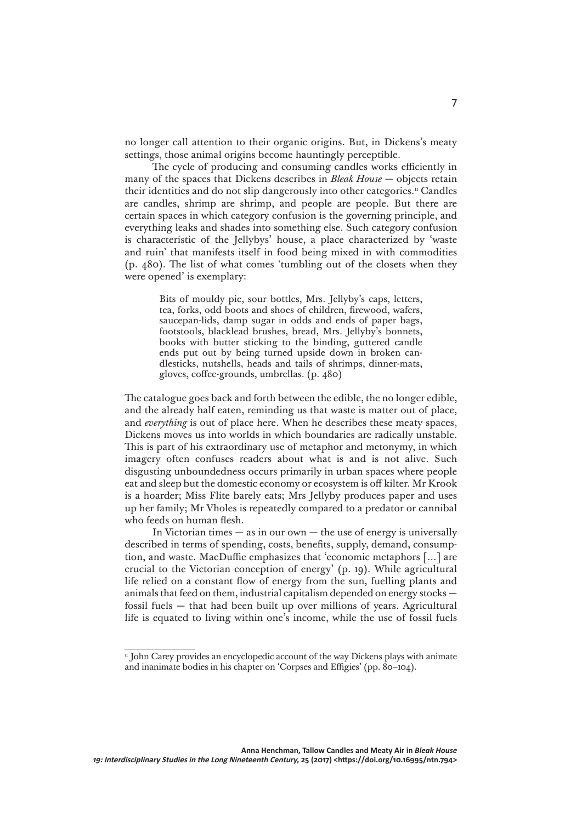no longer call attention to their organic origins. But, in Dickens's meaty settings, those animal origins become hauntingly perceptible.

The cycle of producing and consuming candles works efficiently in many of the spaces that Dickens describes in *Bleak House* — objects retain their identities and do not slip dangerously into other categories.<sup>11</sup> Candles are candles, shrimp are shrimp, and people are people. But there are certain spaces in which category confusion is the governing principle, and everything leaks and shades into something else. Such category confusion is characteristic of the Jellybys' house, a place characterized by 'waste and ruin' that manifests itself in food being mixed in with commodities (p. 480). The list of what comes 'tumbling out of the closets when they were opened' is exemplary:

> Bits of mouldy pie, sour bottles, Mrs. Jellyby's caps, letters, tea, forks, odd boots and shoes of children, firewood, wafers, saucepan-lids, damp sugar in odds and ends of paper bags, footstools, blacklead brushes, bread, Mrs. Jellyby's bonnets, books with butter sticking to the binding, guttered candle ends put out by being turned upside down in broken candlesticks, nutshells, heads and tails of shrimps, dinner-mats, gloves, coffee-grounds, umbrellas. (p. 480)

The catalogue goes back and forth between the edible, the no longer edible, and the already half eaten, reminding us that waste is matter out of place, and *everything* is out of place here. When he describes these meaty spaces, Dickens moves us into worlds in which boundaries are radically unstable. This is part of his extraordinary use of metaphor and metonymy, in which imagery often confuses readers about what is and is not alive. Such disgusting unboundedness occurs primarily in urban spaces where people eat and sleep but the domestic economy or ecosystem is off kilter. Mr Krook is a hoarder; Miss Flite barely eats; Mrs Jellyby produces paper and uses up her family; Mr Vholes is repeatedly compared to a predator or cannibal who feeds on human flesh.

In Victorian times  $-$  as in our own  $-$  the use of energy is universally described in terms of spending, costs, benefits, supply, demand, consumption, and waste. MacDuffie emphasizes that 'economic metaphors […] are crucial to the Victorian conception of energy' (p. 19). While agricultural life relied on a constant flow of energy from the sun, fuelling plants and animals that feed on them, industrial capitalism depended on energy stocks fossil fuels — that had been built up over millions of years. Agricultural life is equated to living within one's income, while the use of fossil fuels

<sup>&</sup>lt;sup>11</sup> John Carey provides an encyclopedic account of the way Dickens plays with animate and inanimate bodies in his chapter on 'Corpses and Effigies' (pp. 80–104).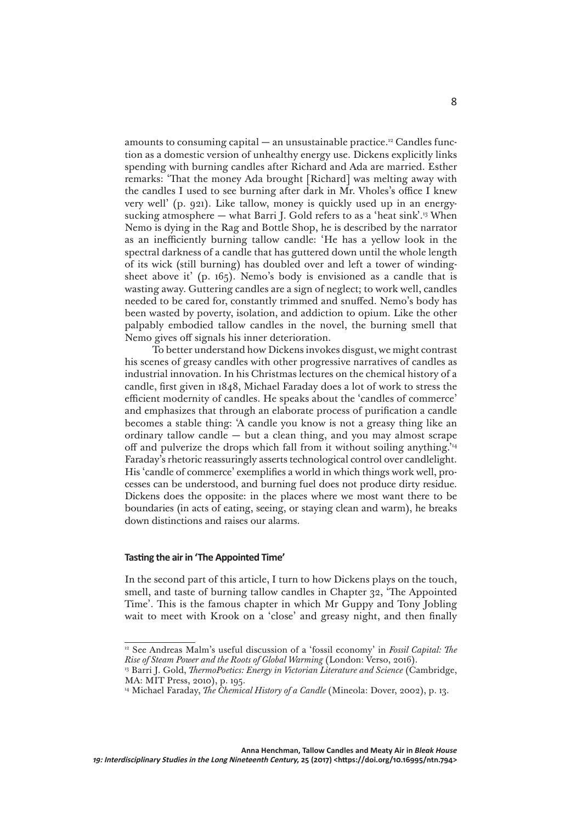amounts to consuming capital — an unsustainable practice.<sup>12</sup> Candles function as a domestic version of unhealthy energy use. Dickens explicitly links spending with burning candles after Richard and Ada are married. Esther remarks: 'That the money Ada brought [Richard] was melting away with the candles I used to see burning after dark in Mr. Vholes's office I knew very well' (p. 921). Like tallow, money is quickly used up in an energysucking atmosphere — what Barri J. Gold refers to as a 'heat sink'.<sup>13</sup> When Nemo is dying in the Rag and Bottle Shop, he is described by the narrator as an inefficiently burning tallow candle: 'He has a yellow look in the spectral darkness of a candle that has guttered down until the whole length of its wick (still burning) has doubled over and left a tower of windingsheet above it' (p. 165). Nemo's body is envisioned as a candle that is wasting away. Guttering candles are a sign of neglect; to work well, candles needed to be cared for, constantly trimmed and snuffed. Nemo's body has been wasted by poverty, isolation, and addiction to opium. Like the other palpably embodied tallow candles in the novel, the burning smell that Nemo gives off signals his inner deterioration.

To better understand how Dickens invokes disgust, we might contrast his scenes of greasy candles with other progressive narratives of candles as industrial innovation. In his Christmas lectures on the chemical history of a candle, first given in 1848, Michael Faraday does a lot of work to stress the efficient modernity of candles. He speaks about the 'candles of commerce' and emphasizes that through an elaborate process of purification a candle becomes a stable thing: 'A candle you know is not a greasy thing like an ordinary tallow candle  $-$  but a clean thing, and you may almost scrape off and pulverize the drops which fall from it without soiling anything.'14 Faraday's rhetoric reassuringly asserts technological control over candlelight. His 'candle of commerce' exemplifies a world in which things work well, processes can be understood, and burning fuel does not produce dirty residue. Dickens does the opposite: in the places where we most want there to be boundaries (in acts of eating, seeing, or staying clean and warm), he breaks down distinctions and raises our alarms.

## **Tasting the air in 'The Appointed Time'**

In the second part of this article, I turn to how Dickens plays on the touch, smell, and taste of burning tallow candles in Chapter 32, 'The Appointed Time'. This is the famous chapter in which Mr Guppy and Tony Jobling wait to meet with Krook on a 'close' and greasy night, and then finally

<sup>12</sup> See Andreas Malm's useful discussion of a 'fossil economy' in *Fossil Capital: The Rise of Steam Power and the Roots of Global Warming* (London: Verso, 2016).

<sup>13</sup> Barri J. Gold, *ThermoPoetics: Energy in Victorian Literature and Science* (Cambridge, MA: MIT Press, 2010), p. 195.

<sup>&</sup>lt;sup>14</sup> Michael Faraday, *The Chemical History of a Candle* (Mineola: Dover, 2002), p. 13.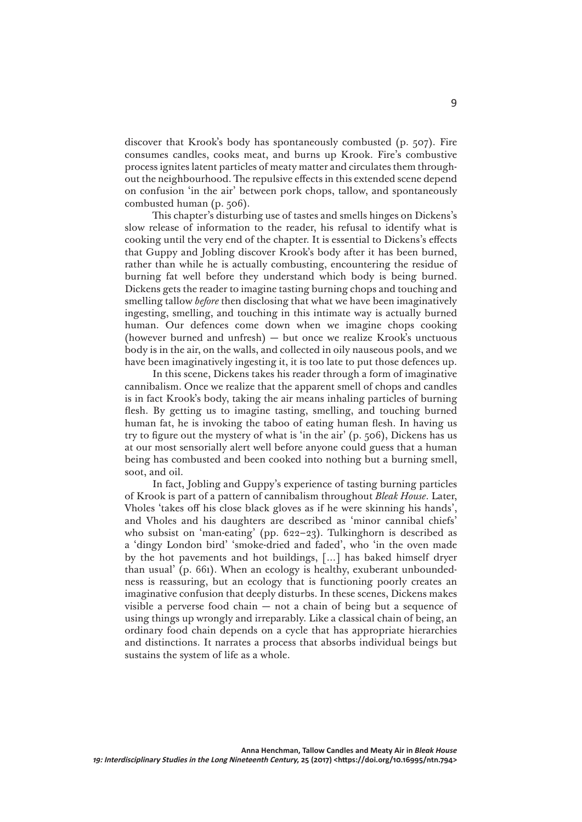discover that Krook's body has spontaneously combusted (p. 507). Fire consumes candles, cooks meat, and burns up Krook. Fire's combustive process ignites latent particles of meaty matter and circulates them throughout the neighbourhood. The repulsive effects in this extended scene depend on confusion 'in the air' between pork chops, tallow, and spontaneously combusted human (p. 506).

This chapter's disturbing use of tastes and smells hinges on Dickens's slow release of information to the reader, his refusal to identify what is cooking until the very end of the chapter. It is essential to Dickens's effects that Guppy and Jobling discover Krook's body after it has been burned, rather than while he is actually combusting, encountering the residue of burning fat well before they understand which body is being burned. Dickens gets the reader to imagine tasting burning chops and touching and smelling tallow *before* then disclosing that what we have been imaginatively ingesting, smelling, and touching in this intimate way is actually burned human. Our defences come down when we imagine chops cooking (however burned and unfresh) — but once we realize Krook's unctuous body is in the air, on the walls, and collected in oily nauseous pools, and we have been imaginatively ingesting it, it is too late to put those defences up.

In this scene, Dickens takes his reader through a form of imaginative cannibalism. Once we realize that the apparent smell of chops and candles is in fact Krook's body, taking the air means inhaling particles of burning flesh. By getting us to imagine tasting, smelling, and touching burned human fat, he is invoking the taboo of eating human flesh. In having us try to figure out the mystery of what is 'in the air' (p. 506), Dickens has us at our most sensorially alert well before anyone could guess that a human being has combusted and been cooked into nothing but a burning smell, soot, and oil.

In fact, Jobling and Guppy's experience of tasting burning particles of Krook is part of a pattern of cannibalism throughout *Bleak House*. Later, Vholes 'takes off his close black gloves as if he were skinning his hands', and Vholes and his daughters are described as 'minor cannibal chiefs' who subsist on 'man-eating' (pp. 622–23). Tulkinghorn is described as a 'dingy London bird' 'smoke-dried and faded', who 'in the oven made by the hot pavements and hot buildings, […] has baked himself dryer than usual' (p. 661). When an ecology is healthy, exuberant unboundedness is reassuring, but an ecology that is functioning poorly creates an imaginative confusion that deeply disturbs. In these scenes, Dickens makes visible a perverse food chain — not a chain of being but a sequence of using things up wrongly and irreparably. Like a classical chain of being, an ordinary food chain depends on a cycle that has appropriate hierarchies and distinctions. It narrates a process that absorbs individual beings but sustains the system of life as a whole.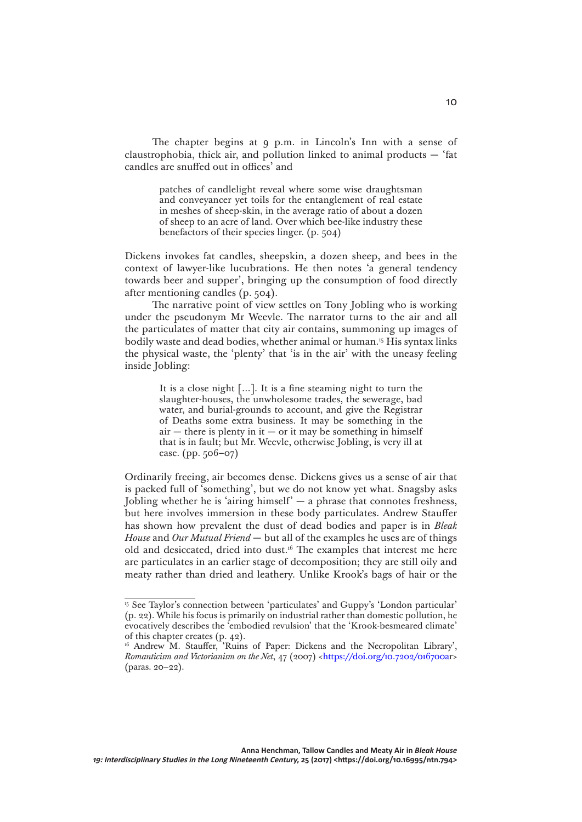The chapter begins at 9 p.m. in Lincoln's Inn with a sense of claustrophobia, thick air, and pollution linked to animal products — 'fat candles are snuffed out in offices' and

> patches of candlelight reveal where some wise draughtsman and conveyancer yet toils for the entanglement of real estate in meshes of sheep-skin, in the average ratio of about a dozen of sheep to an acre of land. Over which bee-like industry these benefactors of their species linger. (p. 504)

Dickens invokes fat candles, sheepskin, a dozen sheep, and bees in the context of lawyer-like lucubrations. He then notes 'a general tendency towards beer and supper', bringing up the consumption of food directly after mentioning candles (p. 504).

The narrative point of view settles on Tony Jobling who is working under the pseudonym Mr Weevle. The narrator turns to the air and all the particulates of matter that city air contains, summoning up images of bodily waste and dead bodies, whether animal or human.15 His syntax links the physical waste, the 'plenty' that 'is in the air' with the uneasy feeling inside Jobling:

> It is a close night […]. It is a fine steaming night to turn the slaughter-houses, the unwholesome trades, the sewerage, bad water, and burial-grounds to account, and give the Registrar of Deaths some extra business. It may be something in the  $air$  — there is plenty in it — or it may be something in himself that is in fault; but Mr. Weevle, otherwise Jobling, is very ill at ease. (pp. 506–07)

Ordinarily freeing, air becomes dense. Dickens gives us a sense of air that is packed full of 'something', but we do not know yet what. Snagsby asks Jobling whether he is 'airing himself'  $-$  a phrase that connotes freshness, but here involves immersion in these body particulates. Andrew Stauffer has shown how prevalent the dust of dead bodies and paper is in *Bleak House* and *Our Mutual Friend* — but all of the examples he uses are of things old and desiccated, dried into dust.16 The examples that interest me here are particulates in an earlier stage of decomposition; they are still oily and meaty rather than dried and leathery. Unlike Krook's bags of hair or the

<sup>15</sup> See Taylor's connection between 'particulates' and Guppy's 'London particular' (p. 22). While his focus is primarily on industrial rather than domestic pollution, he evocatively describes the 'embodied revulsion' that the 'Krook-besmeared climate' of this chapter creates (p. 42).

<sup>&</sup>lt;sup>16</sup> Andrew M. Stauffer, 'Ruins of Paper: Dickens and the Necropolitan Library', *Romanticism and Victorianism on the Net*, 47 (2007) [<https://doi.org/10.7202/016700ar](https://doi.org/10.7202/016700ar)> (paras. 20–22).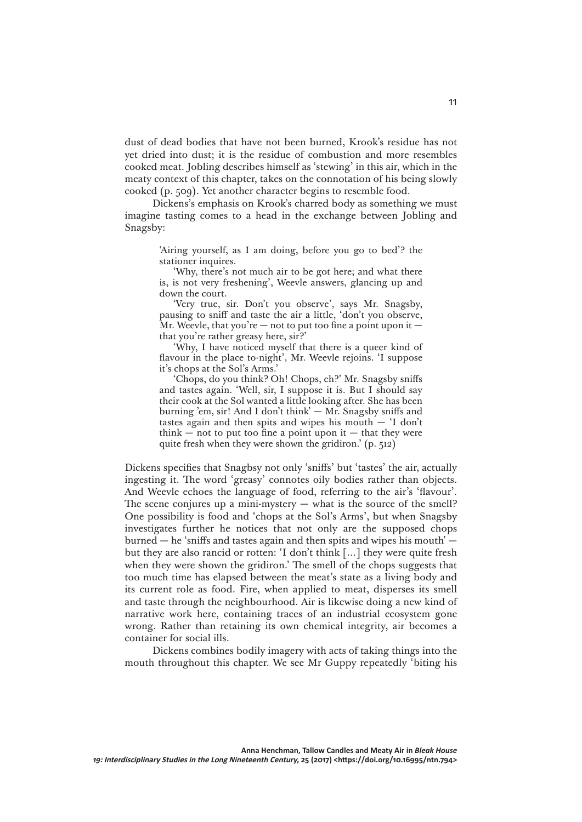dust of dead bodies that have not been burned, Krook's residue has not yet dried into dust; it is the residue of combustion and more resembles cooked meat. Jobling describes himself as 'stewing' in this air, which in the meaty context of this chapter, takes on the connotation of his being slowly cooked (p. 509). Yet another character begins to resemble food.

Dickens's emphasis on Krook's charred body as something we must imagine tasting comes to a head in the exchange between Jobling and Snagsby:

> 'Airing yourself, as I am doing, before you go to bed'? the stationer inquires.

> 'Why, there's not much air to be got here; and what there is, is not very freshening', Weevle answers, glancing up and down the court.

> 'Very true, sir. Don't you observe', says Mr. Snagsby, pausing to sniff and taste the air a little, 'don't you observe, Mr. Weevle, that you're  $-$  not to put too fine a point upon it  $$ that you're rather greasy here, sir?'

> 'Why, I have noticed myself that there is a queer kind of flavour in the place to-night', Mr. Weevle rejoins. 'I suppose it's chops at the Sol's Arms.'

> 'Chops, do you think? Oh! Chops, eh?' Mr. Snagsby sniffs and tastes again. 'Well, sir, I suppose it is. But I should say their cook at the Sol wanted a little looking after. She has been burning 'em, sir! And I don't think' — Mr. Snagsby sniffs and tastes again and then spits and wipes his mouth  $-$  'I don't think  $-$  not to put too fine a point upon it  $-$  that they were quite fresh when they were shown the gridiron.' (p. 512)

Dickens specifies that Snagbsy not only 'sniffs' but 'tastes' the air, actually ingesting it. The word 'greasy' connotes oily bodies rather than objects. And Weevle echoes the language of food, referring to the air's 'flavour'. The scene conjures up a mini-mystery  $-$  what is the source of the smell? One possibility is food and 'chops at the Sol's Arms', but when Snagsby investigates further he notices that not only are the supposed chops burned  $-$  he 'sniffs and tastes again and then spits and wipes his mouth'  $$ but they are also rancid or rotten: 'I don't think […] they were quite fresh when they were shown the gridiron.' The smell of the chops suggests that too much time has elapsed between the meat's state as a living body and its current role as food. Fire, when applied to meat, disperses its smell and taste through the neighbourhood. Air is likewise doing a new kind of narrative work here, containing traces of an industrial ecosystem gone wrong. Rather than retaining its own chemical integrity, air becomes a container for social ills.

Dickens combines bodily imagery with acts of taking things into the mouth throughout this chapter. We see Mr Guppy repeatedly 'biting his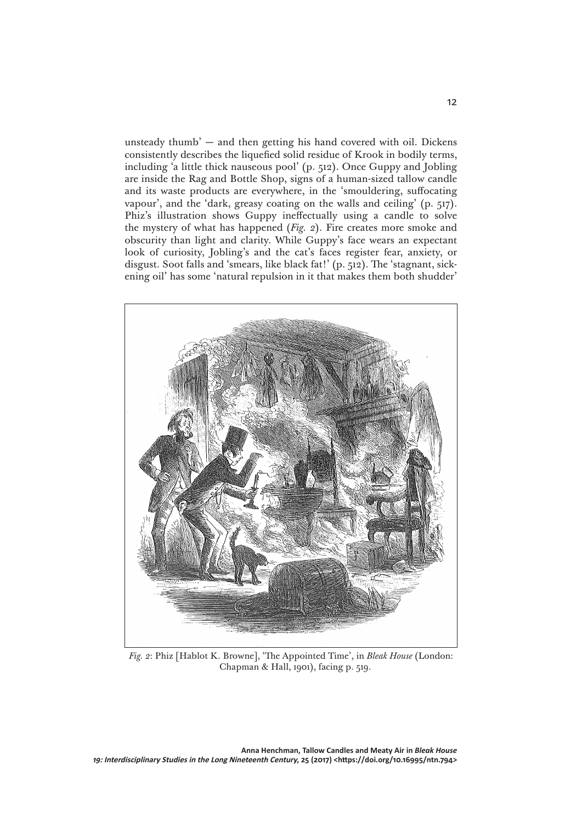unsteady thumb' — and then getting his hand covered with oil. Dickens consistently describes the liquefied solid residue of Krook in bodily terms, including 'a little thick nauseous pool' (p. 512). Once Guppy and Jobling are inside the Rag and Bottle Shop, signs of a human-sized tallow candle and its waste products are everywhere, in the 'smouldering, suffocating vapour', and the 'dark, greasy coating on the walls and ceiling' (p. 517). Phiz's illustration shows Guppy ineffectually using a candle to solve the mystery of what has happened (*Fig. 2*). Fire creates more smoke and obscurity than light and clarity. While Guppy's face wears an expectant look of curiosity, Jobling's and the cat's faces register fear, anxiety, or disgust. Soot falls and 'smears, like black fat!' (p. 512). The 'stagnant, sickening oil' has some 'natural repulsion in it that makes them both shudder'



*Fig. 2*: Phiz [Hablot K. Browne], 'The Appointed Time', in *Bleak House* (London: Chapman & Hall, 1901), facing p. 519.